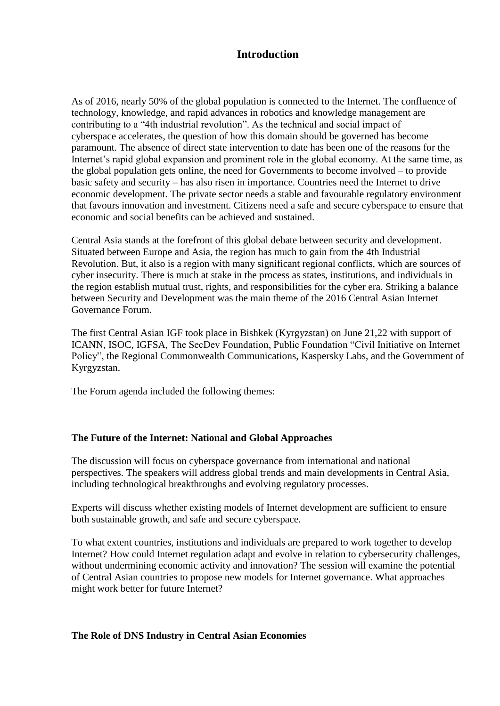## **Introduction**

As of 2016, nearly 50% of the global population is connected to the Internet. The confluence of technology, knowledge, and rapid advances in robotics and knowledge management are contributing to a "4th industrial revolution". As the technical and social impact of cyberspace accelerates, the question of how this domain should be governed has become paramount. The absence of direct state intervention to date has been one of the reasons for the Internet's rapid global expansion and prominent role in the global economy. At the same time, as the global population gets online, the need for Governments to become involved – to provide basic safety and security – has also risen in importance. Countries need the Internet to drive economic development. The private sector needs a stable and favourable regulatory environment that favours innovation and investment. Citizens need a safe and secure cyberspace to ensure that economic and social benefits can be achieved and sustained.

Central Asia stands at the forefront of this global debate between security and development. Situated between Europe and Asia, the region has much to gain from the 4th Industrial Revolution. But, it also is a region with many significant regional conflicts, which are sources of cyber insecurity. There is much at stake in the process as states, institutions, and individuals in the region establish mutual trust, rights, and responsibilities for the cyber era. Striking a balance between Security and Development was the main theme of the 2016 Central Asian Internet Governance Forum.

The first Central Asian IGF took place in Bishkek (Kyrgyzstan) on June 21,22 with support of ICANN, ISOC, IGFSA, The SecDev Foundation, Public Foundation "Civil Initiative on Internet Policy", the Regional Commonwealth Communications, Kaspersky Labs, and the Government of Kyrgyzstan.

The Forum agenda included the following themes:

#### **The Future of the Internet: National and Global Approaches**

The discussion will focus on cyberspace governance from international and national perspectives. The speakers will address global trends and main developments in Central Asia, including technological breakthroughs and evolving regulatory processes.

Experts will discuss whether existing models of Internet development are sufficient to ensure both sustainable growth, and safe and secure cyberspace.

To what extent countries, institutions and individuals are prepared to work together to develop Internet? How could Internet regulation adapt and evolve in relation to cybersecurity challenges, without undermining economic activity and innovation? The session will examine the potential of Central Asian countries to propose new models for Internet governance. What approaches might work better for future Internet?

## **The Role of DNS Industry in Central Asian Economies**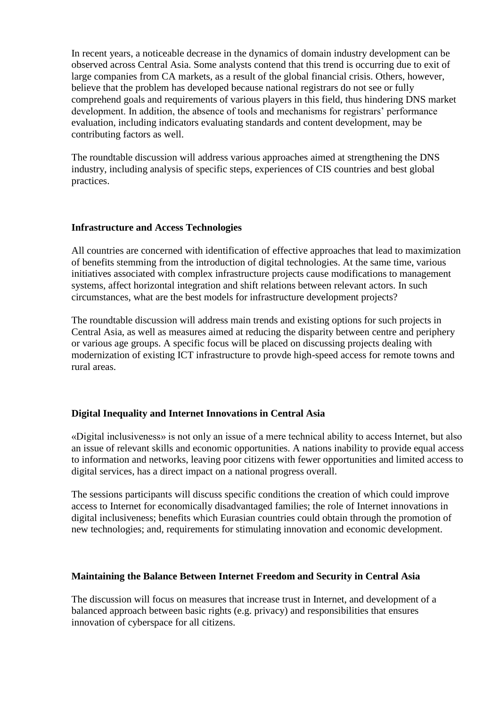In recent years, a noticeable decrease in the dynamics of domain industry development can be observed across Central Asia. Some analysts contend that this trend is occurring due to exit of large companies from CA markets, as a result of the global financial crisis. Others, however, believe that the problem has developed because national registrars do not see or fully comprehend goals and requirements of various players in this field, thus hindering DNS market development. In addition, the absence of tools and mechanisms for registrars' performance evaluation, including indicators evaluating standards and content development, may be contributing factors as well.

The roundtable discussion will address various approaches aimed at strengthening the DNS industry, including analysis of specific steps, experiences of CIS countries and best global practices.

#### **Infrastructure and Access Technologies**

All countries are concerned with identification of effective approaches that lead to maximization of benefits stemming from the introduction of digital technologies. At the same time, various initiatives associated with complex infrastructure projects cause modifications to management systems, affect horizontal integration and shift relations between relevant actors. In such circumstances, what are the best models for infrastructure development projects?

The roundtable discussion will address main trends and existing options for such projects in Central Asia, as well as measures aimed at reducing the disparity between centre and periphery or various age groups. A specific focus will be placed on discussing projects dealing with modernization of existing ICT infrastructure to provde high-speed access for remote towns and rural areas.

## **Digital Inequality and Internet Innovations in Central Asia**

«Digital inclusiveness» is not only an issue of a mere technical ability to access Internet, but also an issue of relevant skills and economic opportunities. A nations inability to provide equal access to information and networks, leaving poor citizens with fewer opportunities and limited access to digital services, has a direct impact on a national progress overall.

The sessions participants will discuss specific conditions the creation of which could improve access to Internet for economically disadvantaged families; the role of Internet innovations in digital inclusiveness; benefits which Eurasian countries could obtain through the promotion of new technologies; and, requirements for stimulating innovation and economic development.

## **Maintaining the Balance Between Internet Freedom and Security in Central Asia**

The discussion will focus on measures that increase trust in Internet, and development of a balanced approach between basic rights (e.g. privacy) and responsibilities that ensures innovation of cyberspace for all citizens.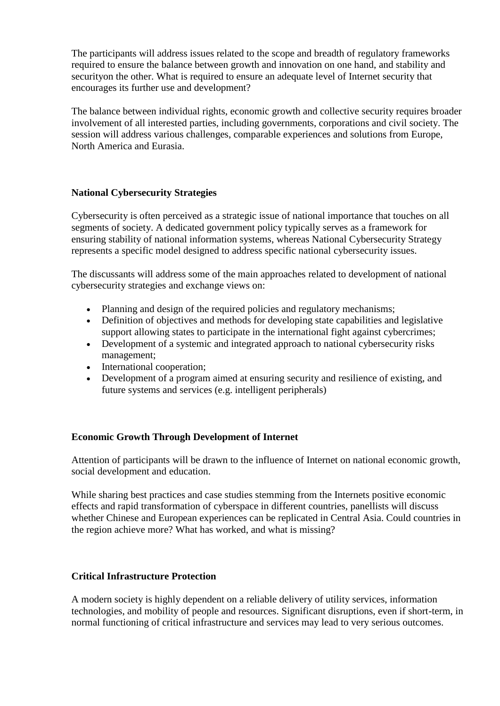The participants will address issues related to the scope and breadth of regulatory frameworks required to ensure the balance between growth and innovation on one hand, and stability and securityon the other. What is required to ensure an adequate level of Internet security that encourages its further use and development?

The balance between individual rights, economic growth and collective security requires broader involvement of all interested parties, including governments, corporations and civil society. The session will address various challenges, comparable experiences and solutions from Europe, North America and Eurasia.

## **National Cybersecurity Strategies**

Cybersecurity is often perceived as a strategic issue of national importance that touches on all segments of society. A dedicated government policy typically serves as a framework for ensuring stability of national information systems, whereas National Cybersecurity Strategy represents a specific model designed to address specific national cybersecurity issues.

The discussants will address some of the main approaches related to development of national cybersecurity strategies and exchange views on:

- Planning and design of the required policies and regulatory mechanisms;
- Definition of objectives and methods for developing state capabilities and legislative support allowing states to participate in the international fight against cybercrimes;
- Development of a systemic and integrated approach to national cybersecurity risks management;
- International cooperation;
- Development of a program aimed at ensuring security and resilience of existing, and future systems and services (e.g. intelligent peripherals)

## **Economic Growth Through Development of Internet**

Attention of participants will be drawn to the influence of Internet on national economic growth, social development and education.

While sharing best practices and case studies stemming from the Internets positive economic effects and rapid transformation of cyberspace in different countries, panellists will discuss whether Chinese and European experiences can be replicated in Central Asia. Could countries in the region achieve more? What has worked, and what is missing?

## **Critical Infrastructure Protection**

A modern society is highly dependent on a reliable delivery of utility services, information technologies, and mobility of people and resources. Significant disruptions, even if short-term, in normal functioning of critical infrastructure and services may lead to very serious outcomes.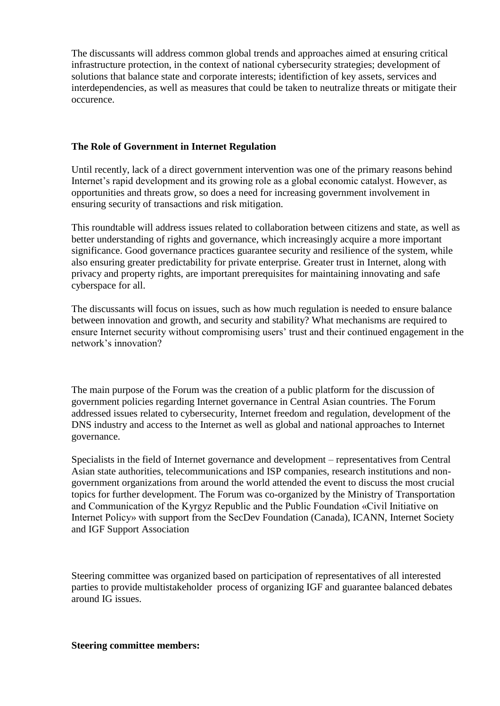The discussants will address common global trends and approaches aimed at ensuring critical infrastructure protection, in the context of national cybersecurity strategies; development of solutions that balance state and corporate interests; identifiction of key assets, services and interdependencies, as well as measures that could be taken to neutralize threats or mitigate their occurence.

## **The Role of Government in Internet Regulation**

Until recently, lack of a direct government intervention was one of the primary reasons behind Internet's rapid development and its growing role as a global economic catalyst. However, as opportunities and threats grow, so does a need for increasing government involvement in ensuring security of transactions and risk mitigation.

This roundtable will address issues related to collaboration between citizens and state, as well as better understanding of rights and governance, which increasingly acquire a more important significance. Good governance practices guarantee security and resilience of the system, while also ensuring greater predictability for private enterprise. Greater trust in Internet, along with privacy and property rights, are important prerequisites for maintaining innovating and safe cyberspace for all.

The discussants will focus on issues, such as how much regulation is needed to ensure balance between innovation and growth, and security and stability? What mechanisms are required to ensure Internet security without compromising users' trust and their continued engagement in the network's innovation?

The main purpose of the Forum was the creation of a public platform for the discussion of government policies regarding Internet governance in Central Asian countries. The Forum addressed issues related to cybersecurity, Internet freedom and regulation, development of the DNS industry and access to the Internet as well as global and national approaches to Internet governance.

Specialists in the field of Internet governance and development – representatives from Central Asian state authorities, telecommunications and ISP companies, research institutions and nongovernment organizations from around the world attended the event to discuss the most crucial topics for further development. The Forum was co-organized by the Ministry of Transportation and Communication of the Kyrgyz Republic and the Public Foundation «Civil Initiative on Internet Policy» with support from the SecDev Foundation (Canada), ICANN, Internet Society and IGF Support Association

Steering committee was organized based on participation of representatives of all interested parties to provide multistakeholder process of organizing IGF and guarantee balanced debates around IG issues.

#### **Steering committee members:**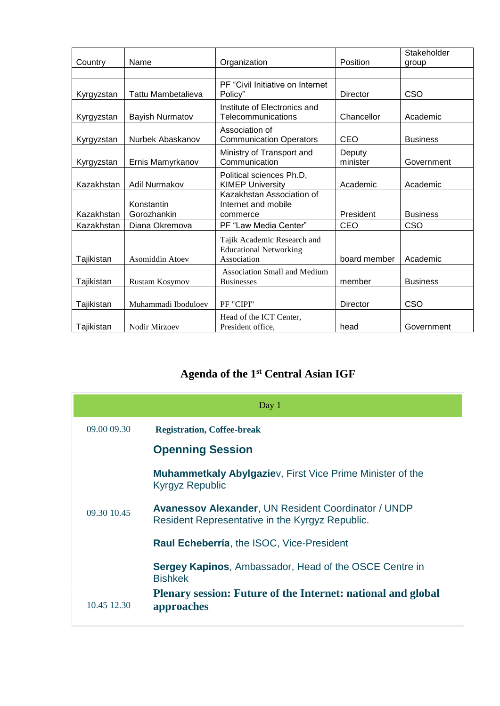|            |                           |                                                                             |                    | Stakeholder     |
|------------|---------------------------|-----------------------------------------------------------------------------|--------------------|-----------------|
| Country    | Name                      | Organization                                                                | Position           | group           |
|            |                           | PF "Civil Initiative on Internet                                            |                    |                 |
| Kyrgyzstan | Tattu Mambetalieva        | Policy"                                                                     | <b>Director</b>    | CSO             |
| Kyrgyzstan | Bayish Nurmatov           | Institute of Electronics and<br>Telecommunications                          | Chancellor         | Academic        |
| Kyrgyzstan | Nurbek Abaskanov          | Association of<br><b>Communication Operators</b>                            | CEO                | <b>Business</b> |
| Kyrgyzstan | Ernis Mamyrkanov          | Ministry of Transport and<br>Communication                                  | Deputy<br>minister | Government      |
| Kazakhstan | Adil Nurmakov             | Political sciences Ph.D,<br><b>KIMEP University</b>                         | Academic           | Academic        |
| Kazakhstan | Konstantin<br>Gorozhankin | Kazakhstan Association of<br>Internet and mobile<br>commerce                | President          | <b>Business</b> |
| Kazakhstan | Diana Okremova            | PF "Law Media Center"                                                       | CEO                | CSO             |
| Tajikistan | <b>Asomiddin Atoev</b>    | Tajik Academic Research and<br><b>Educational Networking</b><br>Association | board member       | Academic        |
| Tajikistan | Rustam Kosymov            | <b>Association Small and Medium</b><br><b>Businesses</b>                    | member             | <b>Business</b> |
| Tajikistan | Muhammadi Iboduloev       | PF "CIPI"                                                                   | <b>Director</b>    | CSO             |
| Tajikistan | Nodir Mirzoev             | Head of the ICT Center,<br>President office,                                | head               | Government      |

# **Agenda of the 1st Central Asian IGF**

| Day $1$     |                                                                                                               |  |  |
|-------------|---------------------------------------------------------------------------------------------------------------|--|--|
| 09.00 09.30 | <b>Registration, Coffee-break</b>                                                                             |  |  |
|             | <b>Openning Session</b>                                                                                       |  |  |
|             | <b>Muhammetkaly Abylgaziev, First Vice Prime Minister of the</b><br><b>Kyrgyz Republic</b>                    |  |  |
| 09.30 10.45 | <b>Avanessov Alexander, UN Resident Coordinator / UNDP</b><br>Resident Representative in the Kyrgyz Republic. |  |  |
|             | <b>Raul Echeberría, the ISOC, Vice-President</b>                                                              |  |  |
|             | <b>Sergey Kapinos, Ambassador, Head of the OSCE Centre in</b><br><b>Bishkek</b>                               |  |  |
| 10.45 12.30 | Plenary session: Future of the Internet: national and global<br>approaches                                    |  |  |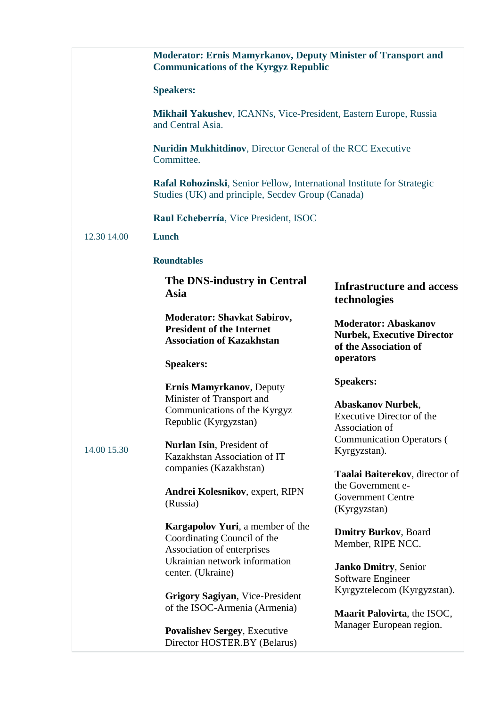|                                                                                       | <b>Moderator: Ernis Mamyrkanov, Deputy Minister of Transport and</b><br><b>Communications of the Kyrgyz Republic</b>                                                                                                                                    |                                                                                                                                                 |  |  |
|---------------------------------------------------------------------------------------|---------------------------------------------------------------------------------------------------------------------------------------------------------------------------------------------------------------------------------------------------------|-------------------------------------------------------------------------------------------------------------------------------------------------|--|--|
|                                                                                       | <b>Speakers:</b>                                                                                                                                                                                                                                        |                                                                                                                                                 |  |  |
| Mikhail Yakushev, ICANNs, Vice-President, Eastern Europe, Russia<br>and Central Asia. |                                                                                                                                                                                                                                                         |                                                                                                                                                 |  |  |
|                                                                                       | <b>Nuridin Mukhitdinov, Director General of the RCC Executive</b><br>Committee.<br>Rafal Rohozinski, Senior Fellow, International Institute for Strategic<br>Studies (UK) and principle, Secdev Group (Canada)<br>Raul Echeberría, Vice President, ISOC |                                                                                                                                                 |  |  |
|                                                                                       |                                                                                                                                                                                                                                                         |                                                                                                                                                 |  |  |
|                                                                                       |                                                                                                                                                                                                                                                         |                                                                                                                                                 |  |  |
| 12.30 14.00                                                                           | Lunch                                                                                                                                                                                                                                                   |                                                                                                                                                 |  |  |
|                                                                                       | <b>Roundtables</b>                                                                                                                                                                                                                                      |                                                                                                                                                 |  |  |
|                                                                                       | The DNS-industry in Central<br>Asia                                                                                                                                                                                                                     | <b>Infrastructure and access</b><br>technologies                                                                                                |  |  |
|                                                                                       | <b>Moderator: Shavkat Sabirov,</b><br><b>President of the Internet</b><br><b>Association of Kazakhstan</b>                                                                                                                                              | <b>Moderator: Abaskanov</b><br><b>Nurbek, Executive Director</b><br>of the Association of                                                       |  |  |
|                                                                                       | <b>Speakers:</b>                                                                                                                                                                                                                                        | operators                                                                                                                                       |  |  |
| 14.00 15.30                                                                           | <b>Ernis Mamyrkanov</b> , Deputy<br>Minister of Transport and<br>Communications of the Kyrgyz<br>Republic (Kyrgyzstan)<br>Nurlan Isin, President of<br>Kazakhstan Association of IT                                                                     | <b>Speakers:</b><br><b>Abaskanov Nurbek,</b><br>Executive Director of the<br>Association of<br><b>Communication Operators (</b><br>Kyrgyzstan). |  |  |
|                                                                                       | companies (Kazakhstan)                                                                                                                                                                                                                                  | Taalai Baiterekov, director of                                                                                                                  |  |  |
|                                                                                       | Andrei Kolesnikov, expert, RIPN<br>(Russia)                                                                                                                                                                                                             | the Government e-<br><b>Government Centre</b><br>(Kyrgyzstan)                                                                                   |  |  |
|                                                                                       | <b>Kargapolov Yuri</b> , a member of the<br>Coordinating Council of the<br>Association of enterprises                                                                                                                                                   | <b>Dmitry Burkov</b> , Board<br>Member, RIPE NCC.                                                                                               |  |  |
|                                                                                       | Ukrainian network information<br>center. (Ukraine)                                                                                                                                                                                                      | <b>Janko Dmitry, Senior</b><br>Software Engineer                                                                                                |  |  |
|                                                                                       | <b>Grigory Sagiyan, Vice-President</b><br>of the ISOC-Armenia (Armenia)                                                                                                                                                                                 | Kyrgyztelecom (Kyrgyzstan).                                                                                                                     |  |  |
|                                                                                       | <b>Povalishev Sergey, Executive</b><br>Director HOSTER.BY (Belarus)                                                                                                                                                                                     | Maarit Palovirta, the ISOC,<br>Manager European region.                                                                                         |  |  |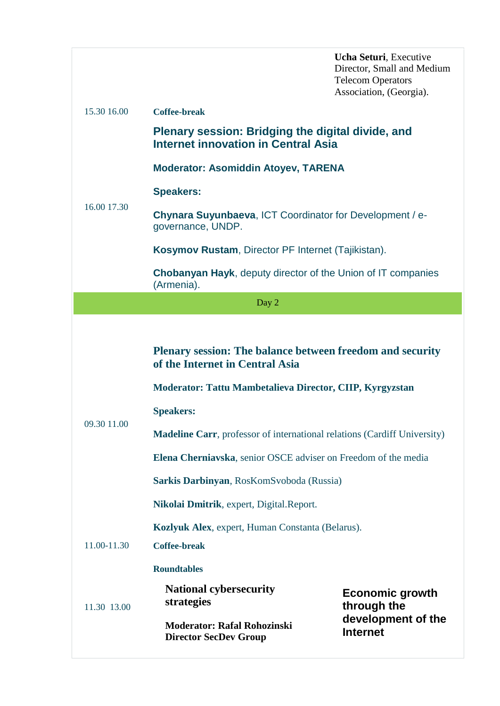|             |                                                                                                                                                                                                                                                                  | Ucha Seturi, Executive<br>Director, Small and Medium<br><b>Telecom Operators</b><br>Association, (Georgia). |  |  |
|-------------|------------------------------------------------------------------------------------------------------------------------------------------------------------------------------------------------------------------------------------------------------------------|-------------------------------------------------------------------------------------------------------------|--|--|
| 15.30 16.00 | <b>Coffee-break</b>                                                                                                                                                                                                                                              |                                                                                                             |  |  |
|             | Plenary session: Bridging the digital divide, and<br><b>Internet innovation in Central Asia</b>                                                                                                                                                                  |                                                                                                             |  |  |
|             | <b>Moderator: Asomiddin Atoyev, TARENA</b>                                                                                                                                                                                                                       |                                                                                                             |  |  |
|             | <b>Speakers:</b>                                                                                                                                                                                                                                                 |                                                                                                             |  |  |
| 16.00 17.30 | <b>Chynara Suyunbaeva, ICT Coordinator for Development / e-</b><br>governance, UNDP.                                                                                                                                                                             |                                                                                                             |  |  |
|             | Kosymov Rustam, Director PF Internet (Tajikistan).                                                                                                                                                                                                               |                                                                                                             |  |  |
|             | <b>Chobanyan Hayk, deputy director of the Union of IT companies</b><br>(Armenia).                                                                                                                                                                                |                                                                                                             |  |  |
|             | Day 2                                                                                                                                                                                                                                                            |                                                                                                             |  |  |
| 09.30 11.00 | Plenary session: The balance between freedom and security<br>of the Internet in Central Asia<br>Moderator: Tattu Mambetalieva Director, CIIP, Kyrgyzstan<br><b>Speakers:</b><br><b>Madeline Carr</b> , professor of international relations (Cardiff University) |                                                                                                             |  |  |
|             | Elena Cherniavska, senior OSCE adviser on Freedom of the media                                                                                                                                                                                                   |                                                                                                             |  |  |
|             | Sarkis Darbinyan, RosKomSvoboda (Russia)                                                                                                                                                                                                                         |                                                                                                             |  |  |
|             | Nikolai Dmitrik, expert, Digital.Report.                                                                                                                                                                                                                         |                                                                                                             |  |  |
|             | Kozlyuk Alex, expert, Human Constanta (Belarus).                                                                                                                                                                                                                 |                                                                                                             |  |  |
| 11.00-11.30 | <b>Coffee-break</b>                                                                                                                                                                                                                                              |                                                                                                             |  |  |
|             | <b>Roundtables</b>                                                                                                                                                                                                                                               |                                                                                                             |  |  |
| 11.30 13.00 | <b>National cybersecurity</b><br>strategies                                                                                                                                                                                                                      | <b>Economic growth</b><br>through the                                                                       |  |  |
|             | <b>Moderator: Rafal Rohozinski</b><br><b>Director SecDev Group</b>                                                                                                                                                                                               | development of the<br><b>Internet</b>                                                                       |  |  |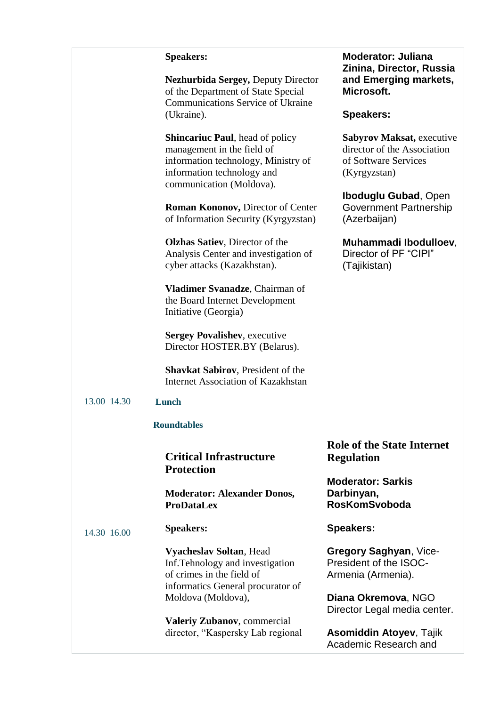#### **Speakers:**

**Nezhurbida Sergey,** Deputy Director of the Department of State Special Communications Service of Ukraine (Ukraine).

**Shincariuc Paul**, head of policy management in the field of information technology, Ministry of information technology and communication (Moldova).

**Roman Kononov,** Director of Center of Information Security (Kyrgyzstan)

**Olzhas Satiev**, Director of the Analysis Center and investigation of cyber attacks (Kazakhstan)[.](https://web.archive.org/web/20160729010611/http:/drive.google.com/open?id=0B1sZykPsGJeEc2ZOVXEtUlZ3cHM)

**Vladimer Svanadze**, Chairman of the Board Internet Development Initiative (Georgia)

**Sergey Povalishev**, executive Director HOSTER.BY (Belarus).

**Shavkat Sabirov**, President of the Internet Association of Kazakhstan

#### 13.00 14.30 **Lunch**

#### **Roundtables**

**Critical Infrastructure Protection**

**Moderator: Alexander Donos, ProDataLex**

14.30 16.00 **Speakers:**

> **Vyacheslav Soltan**, Head Inf.Tehnology and investigation of crimes in the field of informatics General procurator of Moldova (Moldova),

> **Valeriy Zubanov**, commercial director, "Kaspersky Lab regional

**Moderator: Juliana Zinina, Director, Russia and Emerging markets, Microsoft.**

#### **Speakers:**

**Sabyrov Maksat,** executive director of the Association of Software Services (Kyrgyzstan)

**Iboduglu Gubad**, Open Government Partnership (Azerbaijan)

**Muhammadi Ibodulloev**, Director of PF "CIPI"

(Tajikistan)

**Role of the State Internet Regulation**

**Moderator: Sarkis Darbinyan, RosKomSvoboda**

**Speakers:**

**Gregory Saghyan**, Vice-President of the ISOC-Armenia (Armenia).

**Diana Okremova**, NGO Director Legal media center.

**Asomiddin Atoyev**, Tajik Academic Research and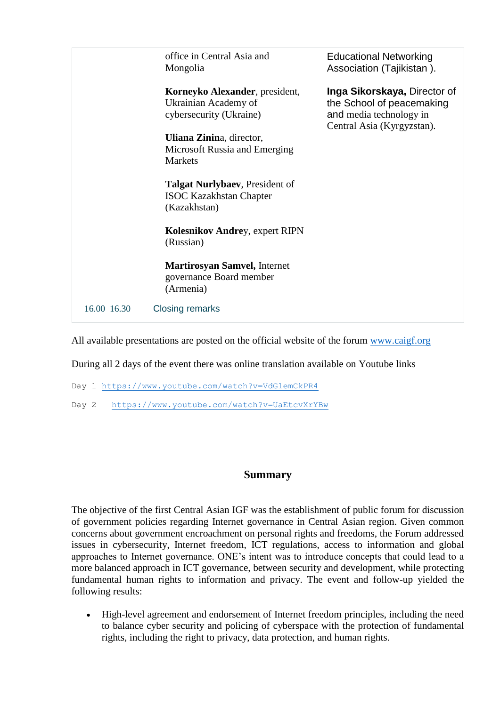|             | office in Central Asia and<br>Mongolia                                            | <b>Educational Networking</b><br>Association (Tajikistan).                                                         |
|-------------|-----------------------------------------------------------------------------------|--------------------------------------------------------------------------------------------------------------------|
|             | Korneyko Alexander, president,<br>Ukrainian Academy of<br>cybersecurity (Ukraine) | Inga Sikorskaya, Director of<br>the School of peacemaking<br>and media technology in<br>Central Asia (Kyrgyzstan). |
|             | Uliana Zinina, director,                                                          |                                                                                                                    |
|             | Microsoft Russia and Emerging                                                     |                                                                                                                    |
|             | <b>Markets</b>                                                                    |                                                                                                                    |
|             |                                                                                   |                                                                                                                    |
|             | <b>Talgat Nurlybaev</b> , President of                                            |                                                                                                                    |
|             | <b>ISOC Kazakhstan Chapter</b>                                                    |                                                                                                                    |
|             | (Kazakhstan)                                                                      |                                                                                                                    |
|             |                                                                                   |                                                                                                                    |
|             | <b>Kolesnikov Andrey, expert RIPN</b>                                             |                                                                                                                    |
|             | (Russian)                                                                         |                                                                                                                    |
|             |                                                                                   |                                                                                                                    |
|             | <b>Martirosyan Samvel, Internet</b>                                               |                                                                                                                    |
|             | governance Board member                                                           |                                                                                                                    |
|             | (Armenia)                                                                         |                                                                                                                    |
|             |                                                                                   |                                                                                                                    |
| 16.00 16.30 | <b>Closing remarks</b>                                                            |                                                                                                                    |
|             |                                                                                   |                                                                                                                    |

All available presentations are posted on the official website of the forum [www.caigf.org](http://www.caigf.org/)

During all 2 days of the event there was online translation available on Youtube links

Day 1<https://www.youtube.com/watch?v=VdGlemCkPR4>

Day 2 <https://www.youtube.com/watch?v=UaEtcvXrYBw>

#### **Summary**

The objective of the first Central Asian IGF was the establishment of public forum for discussion of government policies regarding Internet governance in Central Asian region. Given common concerns about government encroachment on personal rights and freedoms, the Forum addressed issues in cybersecurity, Internet freedom, ICT regulations, access to information and global approaches to Internet governance. ONE's intent was to introduce concepts that could lead to a more balanced approach in ICT governance, between security and development, while protecting fundamental human rights to information and privacy. The event and follow-up yielded the following results:

 High-level agreement and endorsement of Internet freedom principles, including the need to balance cyber security and policing of cyberspace with the protection of fundamental rights, including the right to privacy, data protection, and human rights.